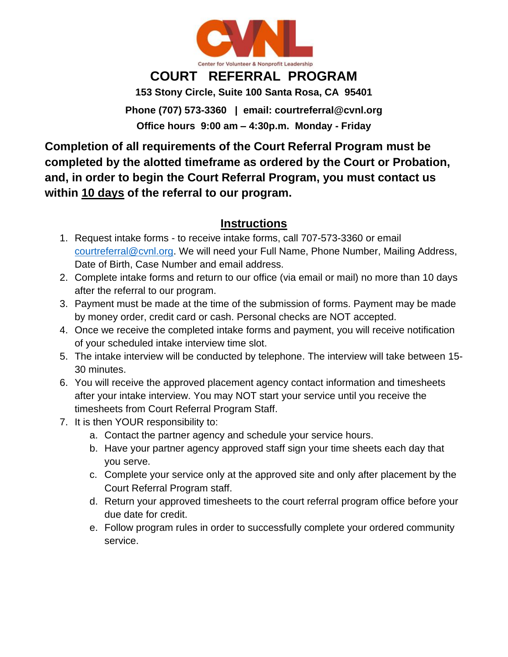

## **COURT REFERRAL PROGRAM**

**153 Stony Circle, Suite 100 Santa Rosa, CA 95401**

**Phone (707) 573-3360 | email: courtreferral@cvnl.org Office hours 9:00 am – 4:30p.m. Monday - Friday**

**Completion of all requirements of the Court Referral Program must be completed by the alotted timeframe as ordered by the Court or Probation, and, in order to begin the Court Referral Program, you must contact us within 10 days of the referral to our program.** 

## **Instructions**

- 1. Request intake forms to receive intake forms, call 707-573-3360 or email [courtreferral@cvnl.org.](mailto:courtreferral@cvnl.org) We will need your Full Name, Phone Number, Mailing Address, Date of Birth, Case Number and email address.
- 2. Complete intake forms and return to our office (via email or mail) no more than 10 days after the referral to our program.
- 3. Payment must be made at the time of the submission of forms. Payment may be made by money order, credit card or cash. Personal checks are NOT accepted.
- 4. Once we receive the completed intake forms and payment, you will receive notification of your scheduled intake interview time slot.
- 5. The intake interview will be conducted by telephone. The interview will take between 15- 30 minutes.
- 6. You will receive the approved placement agency contact information and timesheets after your intake interview. You may NOT start your service until you receive the timesheets from Court Referral Program Staff.
- 7. It is then YOUR responsibility to:
	- a. Contact the partner agency and schedule your service hours.
	- b. Have your partner agency approved staff sign your time sheets each day that you serve.
	- c. Complete your service only at the approved site and only after placement by the Court Referral Program staff.
	- d. Return your approved timesheets to the court referral program office before your due date for credit.
	- e. Follow program rules in order to successfully complete your ordered community service.